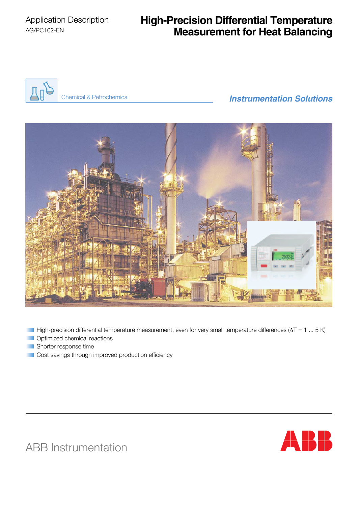# **High-Precision Differential Temperature Measurement for Heat Balancing**



# *Instrumentation Solutions* Chemical & Petrochemical



High-precision differential temperature measurement, even for very small temperature differences ( $\Delta T = 1 ... 5 K$ ) **Optimized chemical reactions** 

- Shorter response time
- Cost savings through improved production efficiency



ABB Instrumentation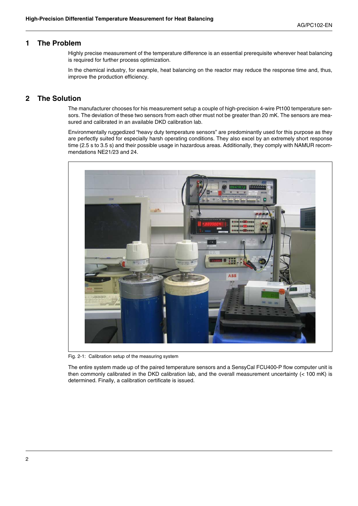### **1 The Problem**

Highly precise measurement of the temperature difference is an essential prerequisite wherever heat balancing is required for further process optimization.

In the chemical industry, for example, heat balancing on the reactor may reduce the response time and, thus, improve the production efficiency.

### **2 The Solution**

The manufacturer chooses for his measurement setup a couple of high-precision 4-wire Pt100 temperature sensors. The deviation of these two sensors from each other must not be greater than 20 mK. The sensors are measured and calibrated in an available DKD calibration lab.

Environmentally ruggedized "heavy duty temperature sensors" are predominantly used for this purpose as they are perfectly suited for especially harsh operating conditions. They also excel by an extremely short response time (2.5 s to 3.5 s) and their possible usage in hazardous areas. Additionally, they comply with NAMUR recommendations NE21/23 and 24.



Fig. 2-1: Calibration setup of the measuring system

The entire system made up of the paired temperature sensors and a SensyCal FCU400-P flow computer unit is then commonly calibrated in the DKD calibration lab, and the overall measurement uncertainty (< 100 mK) is determined. Finally, a calibration certificate is issued.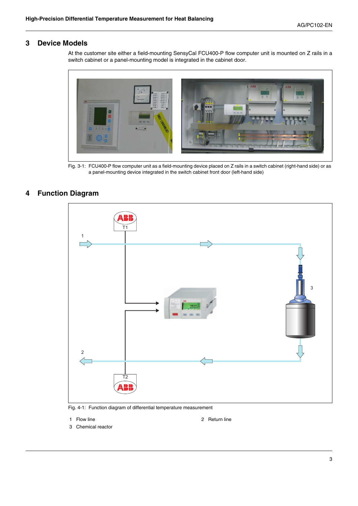### **3 Device Models**

At the customer site either a field-mounting SensyCal FCU400-P flow computer unit is mounted on Z rails in a switch cabinet or a panel-mounting model is integrated in the cabinet door.



Fig. 3-1: FCU400-P flow computer unit as a field-mounting device placed on Z rails in a switch cabinet (right-hand side) or as a panel-mounting device integrated in the switch cabinet front door (left-hand side)

### **4 Function Diagram**



Fig. 4-1: Function diagram of differential temperature measurement

- 
- 1 Flow line 2 Return line
- 3 Chemical reactor

3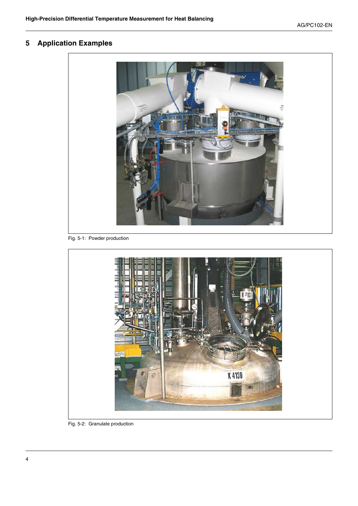## **5 Application Examples**



Fig. 5-1: Powder production



Fig. 5-2: Granulate production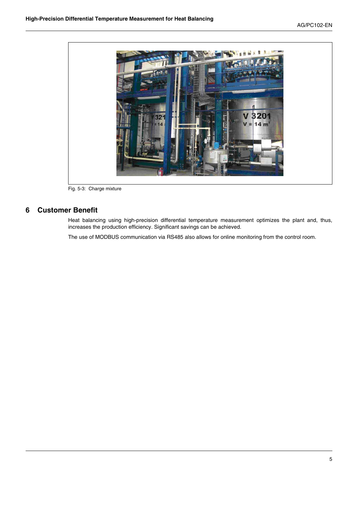

Fig. 5-3: Charge mixture

### **6 Customer Benefit**

Heat balancing using high-precision differential temperature measurement optimizes the plant and, thus, increases the production efficiency. Significant savings can be achieved.

The use of MODBUS communication via RS485 also allows for online monitoring from the control room.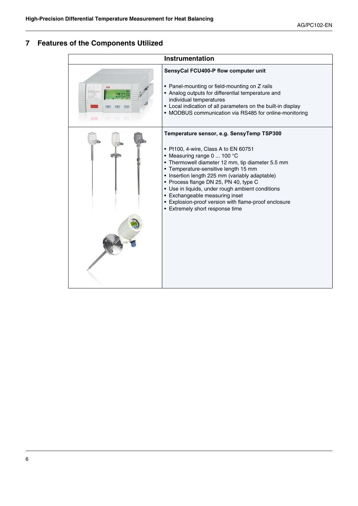## **7 Features of the Components Utilized**

| <b>Instrumentation</b>       |                                                                                                                                                                                                                                                                                                                                                                                                                                                                                          |
|------------------------------|------------------------------------------------------------------------------------------------------------------------------------------------------------------------------------------------------------------------------------------------------------------------------------------------------------------------------------------------------------------------------------------------------------------------------------------------------------------------------------------|
| Ass<br>$=$<br>$\mathbb{R}^2$ | SensyCal FCU400-P flow computer unit<br>• Panel-mounting or field-mounting on Z rails<br>• Analog outputs for differential temperature and<br>individual temperatures<br>• Local indication of all parameters on the built-in display<br>• MODBUS communication via RS485 for online-monitoring                                                                                                                                                                                          |
|                              | Temperature sensor, e.g. SensyTemp TSP300<br>• Pt100, 4-wire, Class A to EN 60751<br>• Measuring range 0  100 °C<br>• Thermowell diameter 12 mm, tip diameter 5.5 mm<br>• Temperature-sensitive length 15 mm<br>• Insertion length 225 mm (variably adaptable)<br>• Process flange DN 25, PN 40, type C<br>• Use in liquids, under rough ambient conditions<br>• Exchangeable measuring inset<br>• Explosion-proof version with flame-proof enclosure<br>• Extremely short response time |